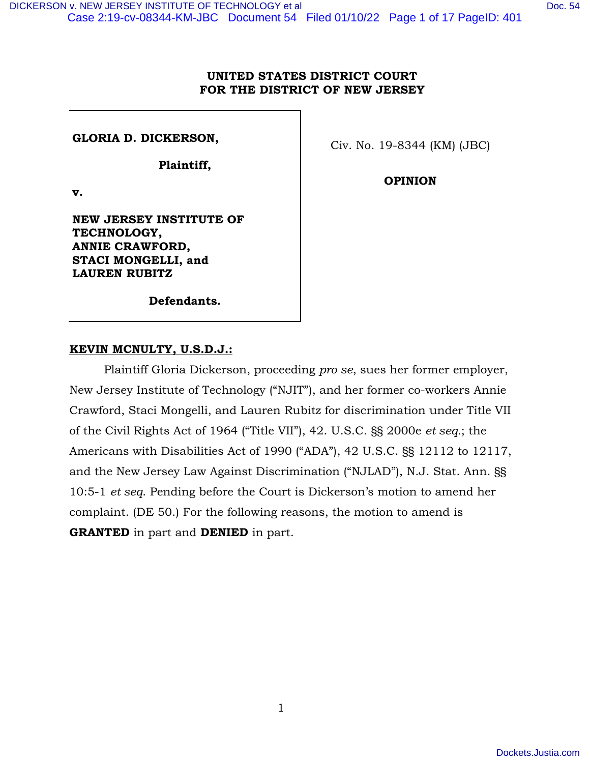# **UNITED STATES DISTRICT COURT FOR THE DISTRICT OF NEW JERSEY**

**GLORIA D. DICKERSON,** 

**Plaintiff,** 

**v.** 

**NEW JERSEY INSTITUTE OF TECHNOLOGY, ANNIE CRAWFORD, STACI MONGELLI, and LAUREN RUBITZ** 

**Defendants.** 

## **KEVIN MCNULTY, U.S.D.J.:**

Plaintiff Gloria Dickerson, proceeding *pro se*, sues her former employer, New Jersey Institute of Technology ("NJIT"), and her former co-workers Annie Crawford, Staci Mongelli, and Lauren Rubitz for discrimination under Title VII of the Civil Rights Act of 1964 ("Title VII"), 42. U.S.C. §§ 2000e *et seq.*; the Americans with Disabilities Act of 1990 ("ADA"), 42 U.S.C. §§ 12112 to 12117, and the New Jersey Law Against Discrimination ("NJLAD"), N.J. Stat. Ann. §§ 10:5-1 *et seq*. Pending before the Court is Dickerson's motion to amend her complaint. (DE 50.) For the following reasons, the motion to amend is **GRANTED** in part and **DENIED** in part.

Civ. No. 19-8344 (KM) (JBC)

**OPINION**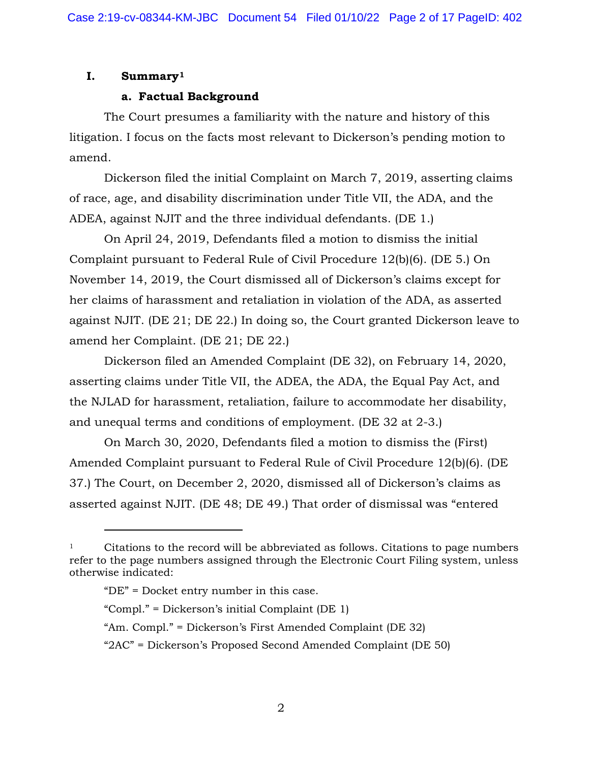# **I. Summary[1](#page-1-0)**

# **a. Factual Background**

The Court presumes a familiarity with the nature and history of this litigation. I focus on the facts most relevant to Dickerson's pending motion to amend.

Dickerson filed the initial Complaint on March 7, 2019, asserting claims of race, age, and disability discrimination under Title VII, the ADA, and the ADEA, against NJIT and the three individual defendants. (DE 1.)

On April 24, 2019, Defendants filed a motion to dismiss the initial Complaint pursuant to Federal Rule of Civil Procedure 12(b)(6). (DE 5.) On November 14, 2019, the Court dismissed all of Dickerson's claims except for her claims of harassment and retaliation in violation of the ADA, as asserted against NJIT. (DE 21; DE 22.) In doing so, the Court granted Dickerson leave to amend her Complaint. (DE 21; DE 22.)

Dickerson filed an Amended Complaint (DE 32), on February 14, 2020, asserting claims under Title VII, the ADEA, the ADA, the Equal Pay Act, and the NJLAD for harassment, retaliation, failure to accommodate her disability, and unequal terms and conditions of employment. (DE 32 at 2-3.)

On March 30, 2020, Defendants filed a motion to dismiss the (First) Amended Complaint pursuant to Federal Rule of Civil Procedure 12(b)(6). (DE 37.) The Court, on December 2, 2020, dismissed all of Dickerson's claims as asserted against NJIT. (DE 48; DE 49.) That order of dismissal was "entered

<span id="page-1-0"></span><sup>1</sup> Citations to the record will be abbreviated as follows. Citations to page numbers refer to the page numbers assigned through the Electronic Court Filing system, unless otherwise indicated:

<sup>&</sup>quot;DE" = Docket entry number in this case.

<sup>&</sup>quot;Compl." = Dickerson's initial Complaint (DE 1)

<sup>&</sup>quot;Am. Compl." = Dickerson's First Amended Complaint (DE 32)

<sup>&</sup>quot;2AC" = Dickerson's Proposed Second Amended Complaint (DE 50)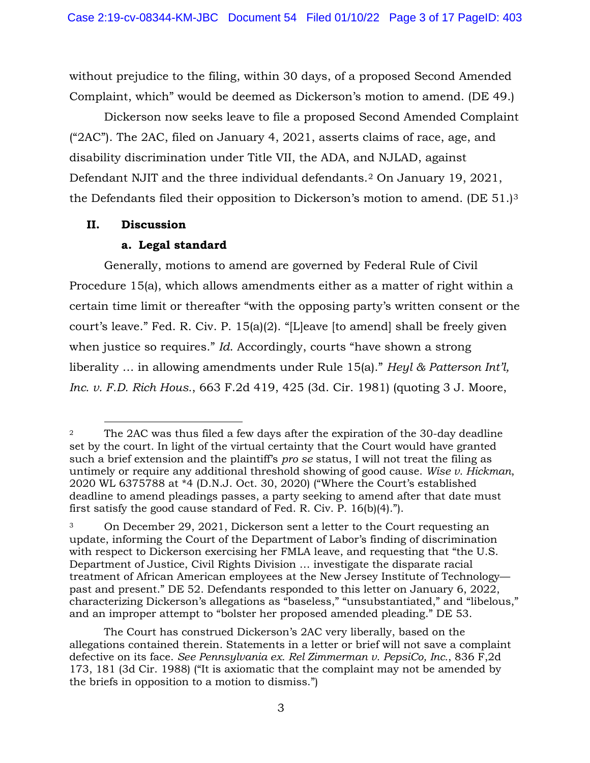without prejudice to the filing, within 30 days, of a proposed Second Amended Complaint, which" would be deemed as Dickerson's motion to amend. (DE 49.)

Dickerson now seeks leave to file a proposed Second Amended Complaint ("2AC"). The 2AC, filed on January 4, 2021, asserts claims of race, age, and disability discrimination under Title VII, the ADA, and NJLAD, against Defendant NJIT and the three individual defendants.[2](#page-2-0) On January 19, 2021, the Defendants filed their opposition to Dickerson's motion to amend. (DE 51.)[3](#page-2-1)

# **II. Discussion**

# **a. Legal standard**

Generally, motions to amend are governed by Federal Rule of Civil Procedure 15(a), which allows amendments either as a matter of right within a certain time limit or thereafter "with the opposing party's written consent or the court's leave." Fed. R. Civ. P. 15(a)(2). "[L]eave [to amend] shall be freely given when justice so requires." *Id*. Accordingly, courts "have shown a strong liberality … in allowing amendments under Rule 15(a)." *Heyl & Patterson Int'l, Inc. v. F.D. Rich Hous.*, 663 F.2d 419, 425 (3d. Cir. 1981) (quoting 3 J. Moore,

<span id="page-2-0"></span><sup>&</sup>lt;sup>2</sup> The 2AC was thus filed a few days after the expiration of the 30-day deadline set by the court. In light of the virtual certainty that the Court would have granted such a brief extension and the plaintiff's *pro se* status, I will not treat the filing as untimely or require any additional threshold showing of good cause. *Wise v. Hickman*, 2020 WL 6375788 at \*4 (D.N.J. Oct. 30, 2020) ("Where the Court's established deadline to amend pleadings passes, a party seeking to amend after that date must first satisfy the good cause standard of Fed. R. Civ. P. 16(b)(4).").

<span id="page-2-1"></span><sup>3</sup> On December 29, 2021, Dickerson sent a letter to the Court requesting an update, informing the Court of the Department of Labor's finding of discrimination with respect to Dickerson exercising her FMLA leave, and requesting that "the U.S. Department of Justice, Civil Rights Division … investigate the disparate racial treatment of African American employees at the New Jersey Institute of Technology past and present." DE 52. Defendants responded to this letter on January 6, 2022, characterizing Dickerson's allegations as "baseless," "unsubstantiated," and "libelous," and an improper attempt to "bolster her proposed amended pleading." DE 53.

The Court has construed Dickerson's 2AC very liberally, based on the allegations contained therein. Statements in a letter or brief will not save a complaint defective on its face. *See Pennsylvania ex. Rel Zimmerman v. PepsiCo, Inc.*, 836 F,2d 173, 181 (3d Cir. 1988) ("It is axiomatic that the complaint may not be amended by the briefs in opposition to a motion to dismiss.")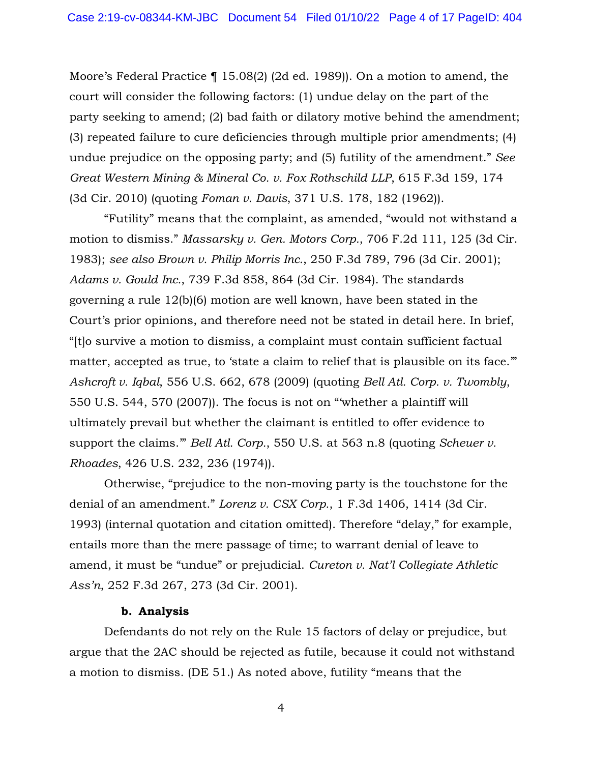Moore's Federal Practice ¶ 15.08(2) (2d ed. 1989)). On a motion to amend, the court will consider the following factors: (1) undue delay on the part of the party seeking to amend; (2) bad faith or dilatory motive behind the amendment; (3) repeated failure to cure deficiencies through multiple prior amendments; (4) undue prejudice on the opposing party; and (5) futility of the amendment." *See Great Western Mining & Mineral Co. v. Fox Rothschild LLP*, 615 F.3d 159, 174 (3d Cir. 2010) (quoting *Foman v. Davis*, 371 U.S. 178, 182 (1962)).

"Futility" means that the complaint, as amended, "would not withstand a motion to dismiss." *Massarsky v. Gen. Motors Corp.*, 706 F.2d 111, 125 (3d Cir. 1983); *see also Brown v. Philip Morris Inc.*, 250 F.3d 789, 796 (3d Cir. 2001); *Adams v. Gould Inc.*, 739 F.3d 858, 864 (3d Cir. 1984). The standards governing a rule 12(b)(6) motion are well known, have been stated in the Court's prior opinions, and therefore need not be stated in detail here. In brief, "[t]o survive a motion to dismiss, a complaint must contain sufficient factual matter, accepted as true, to 'state a claim to relief that is plausible on its face." *Ashcroft v. Iqbal*, 556 U.S. 662, 678 (2009) (quoting *Bell Atl. Corp. v. Twombly*, 550 U.S. 544, 570 (2007)). The focus is not on "'whether a plaintiff will ultimately prevail but whether the claimant is entitled to offer evidence to support the claims.'" *Bell Atl. Corp.*, 550 U.S. at 563 n.8 (quoting *Scheuer v. Rhoades*, 426 U.S. 232, 236 (1974)).

Otherwise, "prejudice to the non-moving party is the touchstone for the denial of an amendment." *Lorenz v. CSX Corp.*, 1 F.3d 1406, 1414 (3d Cir. 1993) (internal quotation and citation omitted). Therefore "delay," for example, entails more than the mere passage of time; to warrant denial of leave to amend, it must be "undue" or prejudicial. *Cureton v. Nat'l Collegiate Athletic Ass'n*, 252 F.3d 267, 273 (3d Cir. 2001).

## **b. Analysis**

Defendants do not rely on the Rule 15 factors of delay or prejudice, but argue that the 2AC should be rejected as futile, because it could not withstand a motion to dismiss. (DE 51.) As noted above, futility "means that the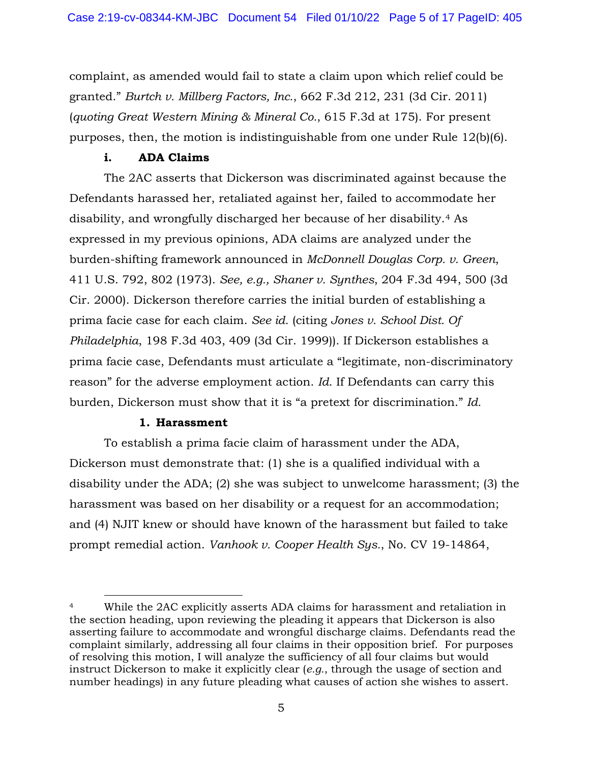complaint, as amended would fail to state a claim upon which relief could be granted." *Burtch v. Millberg Factors, Inc.*, 662 F.3d 212, 231 (3d Cir. 2011) (*quoting Great Western Mining & Mineral Co.*, 615 F.3d at 175). For present purposes, then, the motion is indistinguishable from one under Rule 12(b)(6).

# **i. ADA Claims**

The 2AC asserts that Dickerson was discriminated against because the Defendants harassed her, retaliated against her, failed to accommodate her disability, and wrongfully discharged her because of her disability.[4](#page-4-0) As expressed in my previous opinions, ADA claims are analyzed under the burden-shifting framework announced in *McDonnell Douglas Corp. v. Green*, 411 U.S. 792, 802 (1973). *See, e.g., Shaner v. Synthes*, 204 F.3d 494, 500 (3d Cir. 2000). Dickerson therefore carries the initial burden of establishing a prima facie case for each claim. *See id.* (citing *Jones v. School Dist. Of Philadelphia*, 198 F.3d 403, 409 (3d Cir. 1999)). If Dickerson establishes a prima facie case, Defendants must articulate a "legitimate, non-discriminatory reason" for the adverse employment action. *Id*. If Defendants can carry this burden, Dickerson must show that it is "a pretext for discrimination." *Id.*

# **1. Harassment**

To establish a prima facie claim of harassment under the ADA, Dickerson must demonstrate that: (1) she is a qualified individual with a disability under the ADA; (2) she was subject to unwelcome harassment; (3) the harassment was based on her disability or a request for an accommodation; and (4) NJIT knew or should have known of the harassment but failed to take prompt remedial action. *Vanhook v. Cooper Health Sys.*, No. CV 19-14864,

<span id="page-4-0"></span><sup>4</sup> While the 2AC explicitly asserts ADA claims for harassment and retaliation in the section heading, upon reviewing the pleading it appears that Dickerson is also asserting failure to accommodate and wrongful discharge claims. Defendants read the complaint similarly, addressing all four claims in their opposition brief. For purposes of resolving this motion, I will analyze the sufficiency of all four claims but would instruct Dickerson to make it explicitly clear (*e.g.*, through the usage of section and number headings) in any future pleading what causes of action she wishes to assert.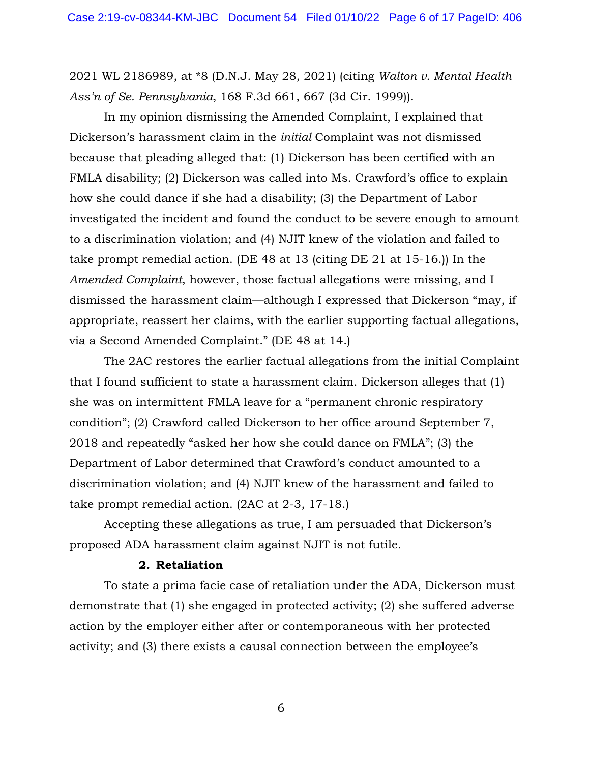2021 WL 2186989, at \*8 (D.N.J. May 28, 2021) (citing *Walton v. Mental Health Ass'n of Se. Pennsylvania*, 168 F.3d 661, 667 (3d Cir. 1999)).

In my opinion dismissing the Amended Complaint, I explained that Dickerson's harassment claim in the *initial* Complaint was not dismissed because that pleading alleged that: (1) Dickerson has been certified with an FMLA disability; (2) Dickerson was called into Ms. Crawford's office to explain how she could dance if she had a disability; (3) the Department of Labor investigated the incident and found the conduct to be severe enough to amount to a discrimination violation; and (4) NJIT knew of the violation and failed to take prompt remedial action. (DE 48 at 13 (citing DE 21 at 15-16.)) In the *Amended Complaint*, however, those factual allegations were missing, and I dismissed the harassment claim—although I expressed that Dickerson "may, if appropriate, reassert her claims, with the earlier supporting factual allegations, via a Second Amended Complaint." (DE 48 at 14.)

The 2AC restores the earlier factual allegations from the initial Complaint that I found sufficient to state a harassment claim. Dickerson alleges that (1) she was on intermittent FMLA leave for a "permanent chronic respiratory condition"; (2) Crawford called Dickerson to her office around September 7, 2018 and repeatedly "asked her how she could dance on FMLA"; (3) the Department of Labor determined that Crawford's conduct amounted to a discrimination violation; and (4) NJIT knew of the harassment and failed to take prompt remedial action. (2AC at 2-3, 17-18.)

Accepting these allegations as true, I am persuaded that Dickerson's proposed ADA harassment claim against NJIT is not futile.

#### **2. Retaliation**

To state a prima facie case of retaliation under the ADA, Dickerson must demonstrate that (1) she engaged in protected activity; (2) she suffered adverse action by the employer either after or contemporaneous with her protected activity; and (3) there exists a causal connection between the employee's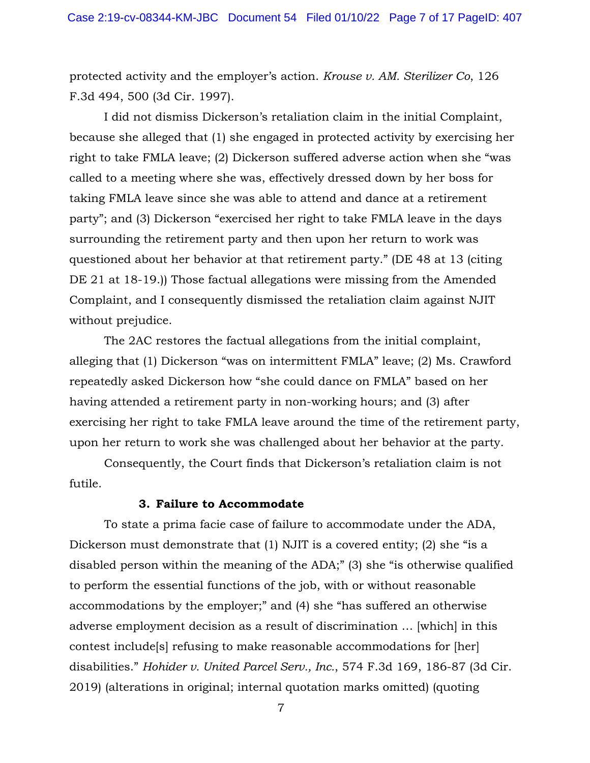protected activity and the employer's action. *Krouse v. AM. Sterilizer Co*, 126 F.3d 494, 500 (3d Cir. 1997).

I did not dismiss Dickerson's retaliation claim in the initial Complaint, because she alleged that (1) she engaged in protected activity by exercising her right to take FMLA leave; (2) Dickerson suffered adverse action when she "was called to a meeting where she was, effectively dressed down by her boss for taking FMLA leave since she was able to attend and dance at a retirement party"; and (3) Dickerson "exercised her right to take FMLA leave in the days surrounding the retirement party and then upon her return to work was questioned about her behavior at that retirement party." (DE 48 at 13 (citing DE 21 at 18-19.)) Those factual allegations were missing from the Amended Complaint, and I consequently dismissed the retaliation claim against NJIT without prejudice.

The 2AC restores the factual allegations from the initial complaint, alleging that (1) Dickerson "was on intermittent FMLA" leave; (2) Ms. Crawford repeatedly asked Dickerson how "she could dance on FMLA" based on her having attended a retirement party in non-working hours; and (3) after exercising her right to take FMLA leave around the time of the retirement party, upon her return to work she was challenged about her behavior at the party.

Consequently, the Court finds that Dickerson's retaliation claim is not futile.

## **3. Failure to Accommodate**

To state a prima facie case of failure to accommodate under the ADA, Dickerson must demonstrate that (1) NJIT is a covered entity; (2) she "is a disabled person within the meaning of the ADA;" (3) she "is otherwise qualified to perform the essential functions of the job, with or without reasonable accommodations by the employer;" and (4) she "has suffered an otherwise adverse employment decision as a result of discrimination … [which] in this contest include[s] refusing to make reasonable accommodations for [her] disabilities." *Hohider v. United Parcel Serv., Inc.*, 574 F.3d 169, 186-87 (3d Cir. 2019) (alterations in original; internal quotation marks omitted) (quoting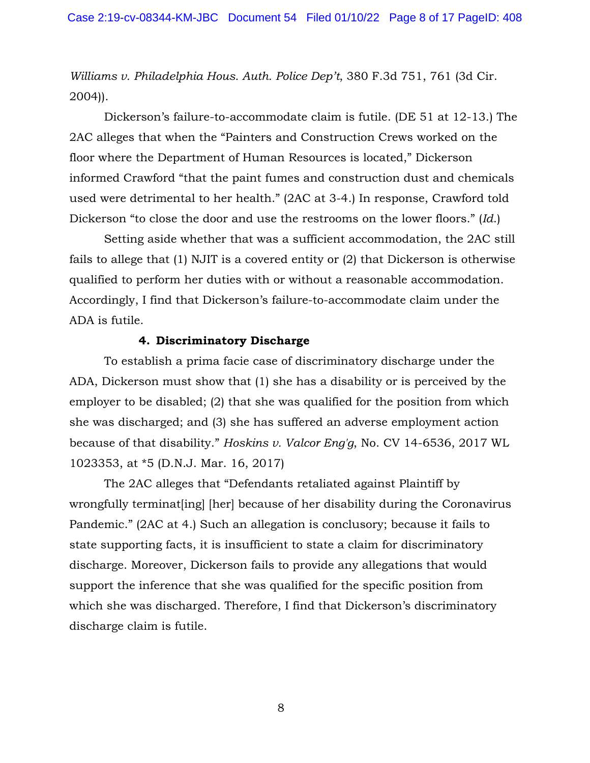*Williams v. Philadelphia Hous. Auth. Police Dep't*, 380 F.3d 751, 761 (3d Cir. 2004)).

Dickerson's failure-to-accommodate claim is futile. (DE 51 at 12-13.) The 2AC alleges that when the "Painters and Construction Crews worked on the floor where the Department of Human Resources is located," Dickerson informed Crawford "that the paint fumes and construction dust and chemicals used were detrimental to her health." (2AC at 3-4.) In response, Crawford told Dickerson "to close the door and use the restrooms on the lower floors." (*Id*.)

Setting aside whether that was a sufficient accommodation, the 2AC still fails to allege that (1) NJIT is a covered entity or (2) that Dickerson is otherwise qualified to perform her duties with or without a reasonable accommodation. Accordingly, I find that Dickerson's failure-to-accommodate claim under the ADA is futile.

#### **4. Discriminatory Discharge**

To establish a prima facie case of discriminatory discharge under the ADA, Dickerson must show that (1) she has a disability or is perceived by the employer to be disabled; (2) that she was qualified for the position from which she was discharged; and (3) she has suffered an adverse employment action because of that disability." *Hoskins v. Valcor Eng'g*, No. CV 14-6536, 2017 WL 1023353, at \*5 (D.N.J. Mar. 16, 2017)

The 2AC alleges that "Defendants retaliated against Plaintiff by wrongfully terminat[ing] [her] because of her disability during the Coronavirus Pandemic." (2AC at 4.) Such an allegation is conclusory; because it fails to state supporting facts, it is insufficient to state a claim for discriminatory discharge. Moreover, Dickerson fails to provide any allegations that would support the inference that she was qualified for the specific position from which she was discharged. Therefore, I find that Dickerson's discriminatory discharge claim is futile.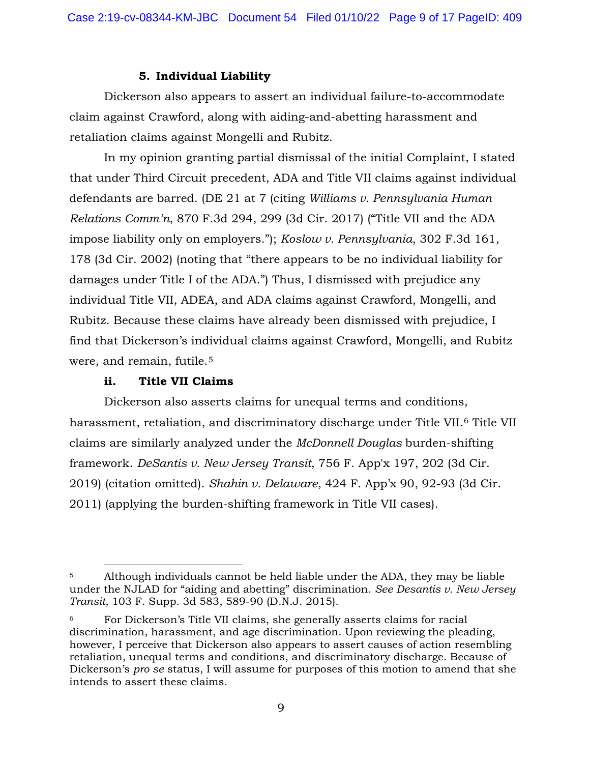# **5. Individual Liability**

Dickerson also appears to assert an individual failure-to-accommodate claim against Crawford, along with aiding-and-abetting harassment and retaliation claims against Mongelli and Rubitz.

In my opinion granting partial dismissal of the initial Complaint, I stated that under Third Circuit precedent, ADA and Title VII claims against individual defendants are barred. (DE 21 at 7 (citing *Williams v. Pennsylvania Human Relations Comm'n*, 870 F.3d 294, 299 (3d Cir. 2017) ("Title VII and the ADA impose liability only on employers."); *Koslow v. Pennsylvania*, 302 F.3d 161, 178 (3d Cir. 2002) (noting that "there appears to be no individual liability for damages under Title I of the ADA.") Thus, I dismissed with prejudice any individual Title VII, ADEA, and ADA claims against Crawford, Mongelli, and Rubitz. Because these claims have already been dismissed with prejudice, I find that Dickerson's individual claims against Crawford, Mongelli, and Rubitz were, and remain, futile.<sup>[5](#page-8-0)</sup>

# **ii. Title VII Claims**

Dickerson also asserts claims for unequal terms and conditions, harassment, retaliation, and discriminatory discharge under Title VII.<sup>[6](#page-8-1)</sup> Title VII claims are similarly analyzed under the *McDonnell Douglas* burden-shifting framework. *DeSantis v. New Jersey Transit*, 756 F. App'x 197, 202 (3d Cir. 2019) (citation omitted). *Shahin v. Delaware*, 424 F. App'x 90, 92-93 (3d Cir. 2011) (applying the burden-shifting framework in Title VII cases).

<span id="page-8-0"></span><sup>5</sup> Although individuals cannot be held liable under the ADA, they may be liable under the NJLAD for "aiding and abetting" discrimination. *See Desantis v. New Jersey Transit*, 103 F. Supp. 3d 583, 589-90 (D.N.J. 2015).

<span id="page-8-1"></span><sup>6</sup> For Dickerson's Title VII claims, she generally asserts claims for racial discrimination, harassment, and age discrimination. Upon reviewing the pleading, however, I perceive that Dickerson also appears to assert causes of action resembling retaliation, unequal terms and conditions, and discriminatory discharge. Because of Dickerson's *pro se* status, I will assume for purposes of this motion to amend that she intends to assert these claims.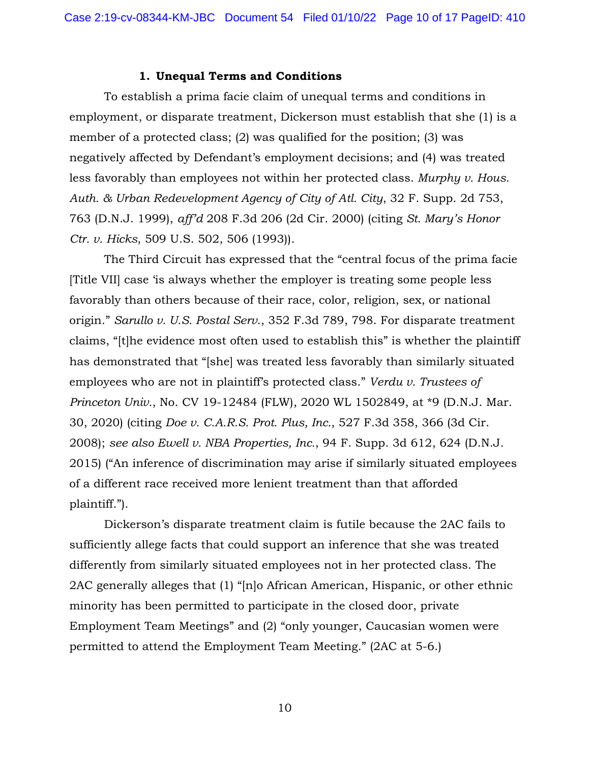#### **1. Unequal Terms and Conditions**

To establish a prima facie claim of unequal terms and conditions in employment, or disparate treatment, Dickerson must establish that she (1) is a member of a protected class; (2) was qualified for the position; (3) was negatively affected by Defendant's employment decisions; and (4) was treated less favorably than employees not within her protected class. *Murphy v. Hous. Auth. & Urban Redevelopment Agency of City of Atl. City*, 32 F. Supp. 2d 753, 763 (D.N.J. 1999), *aff'd* 208 F.3d 206 (2d Cir. 2000) (citing *St. Mary's Honor Ctr. v. Hicks*, 509 U.S. 502, 506 (1993)).

The Third Circuit has expressed that the "central focus of the prima facie [Title VII] case 'is always whether the employer is treating some people less favorably than others because of their race, color, religion, sex, or national origin." *Sarullo v. U.S. Postal Serv*., 352 F.3d 789, 798. For disparate treatment claims, "[t]he evidence most often used to establish this" is whether the plaintiff has demonstrated that "[she] was treated less favorably than similarly situated employees who are not in plaintiff's protected class." *Verdu v. Trustees of Princeton Univ.*, No. CV 19-12484 (FLW), 2020 WL 1502849, at \*9 (D.N.J. Mar. 30, 2020) (citing *Doe v. C.A.R.S. Prot. Plus, Inc.*, 527 F.3d 358, 366 (3d Cir. 2008); *see also Ewell v. NBA Properties, Inc.*, 94 F. Supp. 3d 612, 624 (D.N.J. 2015) ("An inference of discrimination may arise if similarly situated employees of a different race received more lenient treatment than that afforded plaintiff.").

Dickerson's disparate treatment claim is futile because the 2AC fails to sufficiently allege facts that could support an inference that she was treated differently from similarly situated employees not in her protected class. The 2AC generally alleges that (1) "[n]o African American, Hispanic, or other ethnic minority has been permitted to participate in the closed door, private Employment Team Meetings" and (2) "only younger, Caucasian women were permitted to attend the Employment Team Meeting." (2AC at 5-6.)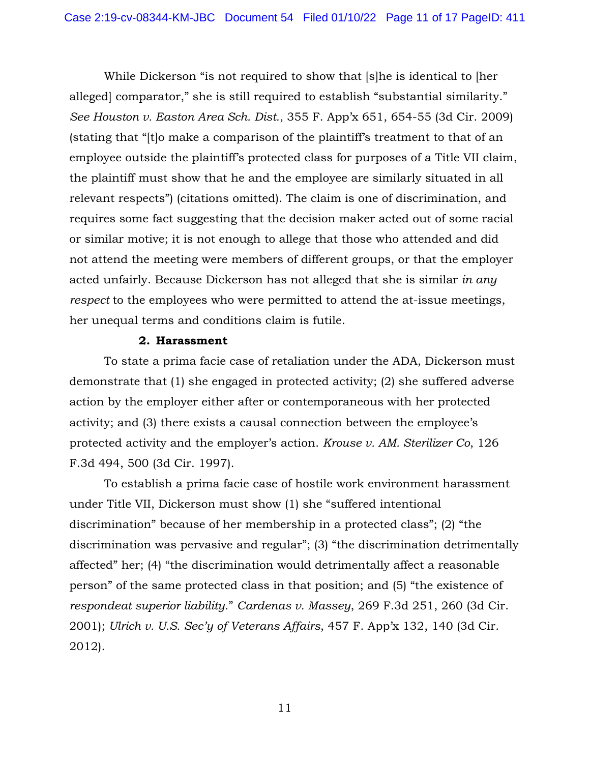While Dickerson "is not required to show that [s]he is identical to [her alleged] comparator," she is still required to establish "substantial similarity." *See Houston v. Easton Area Sch. Dist.*, 355 F. App'x 651, 654-55 (3d Cir. 2009) (stating that "[t]o make a comparison of the plaintiff's treatment to that of an employee outside the plaintiff's protected class for purposes of a Title VII claim, the plaintiff must show that he and the employee are similarly situated in all relevant respects") (citations omitted). The claim is one of discrimination, and requires some fact suggesting that the decision maker acted out of some racial or similar motive; it is not enough to allege that those who attended and did not attend the meeting were members of different groups, or that the employer acted unfairly. Because Dickerson has not alleged that she is similar *in any respect* to the employees who were permitted to attend the at-issue meetings, her unequal terms and conditions claim is futile.

#### **2. Harassment**

To state a prima facie case of retaliation under the ADA, Dickerson must demonstrate that (1) she engaged in protected activity; (2) she suffered adverse action by the employer either after or contemporaneous with her protected activity; and (3) there exists a causal connection between the employee's protected activity and the employer's action. *Krouse v. AM. Sterilizer Co*, 126 F.3d 494, 500 (3d Cir. 1997).

To establish a prima facie case of hostile work environment harassment under Title VII, Dickerson must show (1) she "suffered intentional discrimination" because of her membership in a protected class"; (2) "the discrimination was pervasive and regular"; (3) "the discrimination detrimentally affected" her; (4) "the discrimination would detrimentally affect a reasonable person" of the same protected class in that position; and (5) "the existence of *respondeat superior liability*." *Cardenas v. Massey*, 269 F.3d 251, 260 (3d Cir. 2001); *Ulrich v. U.S. Sec'y of Veterans Affairs*, 457 F. App'x 132, 140 (3d Cir. 2012).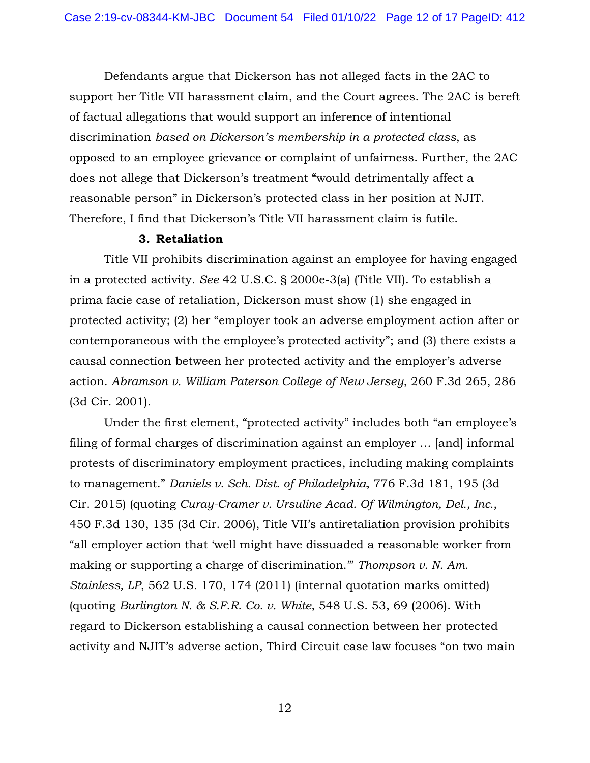Defendants argue that Dickerson has not alleged facts in the 2AC to support her Title VII harassment claim, and the Court agrees. The 2AC is bereft of factual allegations that would support an inference of intentional discrimination *based on Dickerson's membership in a protected class*, as opposed to an employee grievance or complaint of unfairness. Further, the 2AC does not allege that Dickerson's treatment "would detrimentally affect a reasonable person" in Dickerson's protected class in her position at NJIT. Therefore, I find that Dickerson's Title VII harassment claim is futile.

## **3. Retaliation**

Title VII prohibits discrimination against an employee for having engaged in a protected activity. *See* 42 U.S.C. § 2000e-3(a) (Title VII). To establish a prima facie case of retaliation, Dickerson must show (1) she engaged in protected activity; (2) her "employer took an adverse employment action after or contemporaneous with the employee's protected activity"; and (3) there exists a causal connection between her protected activity and the employer's adverse action. *Abramson v. William Paterson College of New Jersey*, 260 F.3d 265, 286 (3d Cir. 2001).

Under the first element, "protected activity" includes both "an employee's filing of formal charges of discrimination against an employer … [and] informal protests of discriminatory employment practices, including making complaints to management." *Daniels v. Sch. Dist. of Philadelphia*, 776 F.3d 181, 195 (3d Cir. 2015) (quoting *Curay-Cramer v. Ursuline Acad. Of Wilmington, Del., Inc.*, 450 F.3d 130, 135 (3d Cir. 2006), Title VII's antiretaliation provision prohibits "all employer action that 'well might have dissuaded a reasonable worker from making or supporting a charge of discrimination.'" *Thompson v. N. Am. Stainless, LP*, 562 U.S. 170, 174 (2011) (internal quotation marks omitted) (quoting *Burlington N. & S.F.R. Co. v. White*, 548 U.S. 53, 69 (2006). With regard to Dickerson establishing a causal connection between her protected activity and NJIT's adverse action, Third Circuit case law focuses "on two main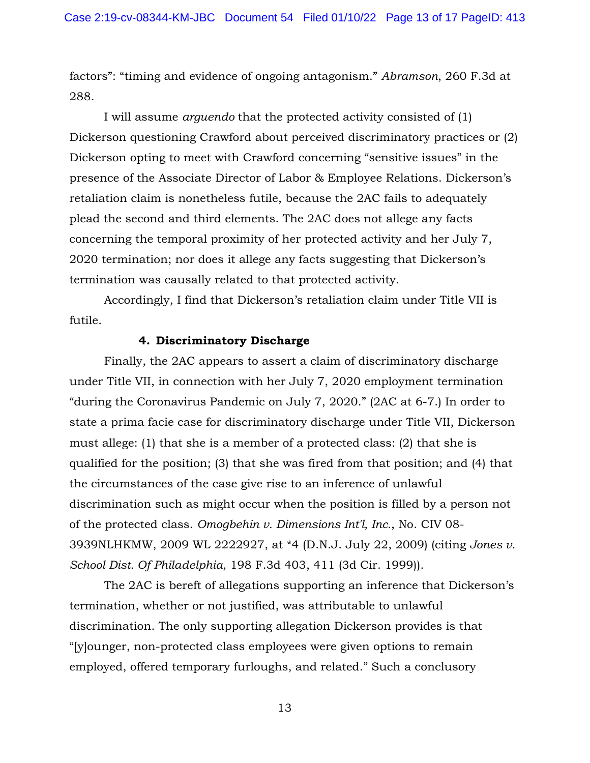factors": "timing and evidence of ongoing antagonism." *Abramson*, 260 F.3d at 288.

I will assume *arguendo* that the protected activity consisted of (1) Dickerson questioning Crawford about perceived discriminatory practices or (2) Dickerson opting to meet with Crawford concerning "sensitive issues" in the presence of the Associate Director of Labor & Employee Relations. Dickerson's retaliation claim is nonetheless futile, because the 2AC fails to adequately plead the second and third elements. The 2AC does not allege any facts concerning the temporal proximity of her protected activity and her July 7, 2020 termination; nor does it allege any facts suggesting that Dickerson's termination was causally related to that protected activity.

Accordingly, I find that Dickerson's retaliation claim under Title VII is futile.

### **4. Discriminatory Discharge**

Finally, the 2AC appears to assert a claim of discriminatory discharge under Title VII, in connection with her July 7, 2020 employment termination "during the Coronavirus Pandemic on July 7, 2020." (2AC at 6-7.) In order to state a prima facie case for discriminatory discharge under Title VII, Dickerson must allege: (1) that she is a member of a protected class: (2) that she is qualified for the position; (3) that she was fired from that position; and (4) that the circumstances of the case give rise to an inference of unlawful discrimination such as might occur when the position is filled by a person not of the protected class. *Omogbehin v. Dimensions Int'l, Inc.*, No. CIV 08- 3939NLHKMW, 2009 WL 2222927, at \*4 (D.N.J. July 22, 2009) (citing *Jones v. School Dist. Of Philadelphia*, 198 F.3d 403, 411 (3d Cir. 1999)).

The 2AC is bereft of allegations supporting an inference that Dickerson's termination, whether or not justified, was attributable to unlawful discrimination. The only supporting allegation Dickerson provides is that "[y]ounger, non-protected class employees were given options to remain employed, offered temporary furloughs, and related." Such a conclusory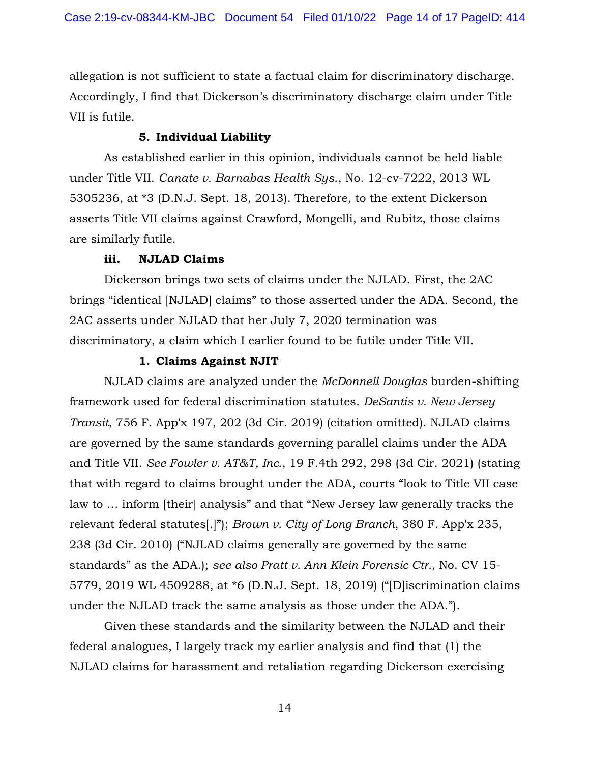allegation is not sufficient to state a factual claim for discriminatory discharge. Accordingly, I find that Dickerson's discriminatory discharge claim under Title VII is futile.

# **5. Individual Liability**

As established earlier in this opinion, individuals cannot be held liable under Title VII. *Canate v. Barnabas Health Sys*., No. 12-cv-7222, 2013 WL 5305236, at \*3 (D.N.J. Sept. 18, 2013). Therefore, to the extent Dickerson asserts Title VII claims against Crawford, Mongelli, and Rubitz, those claims are similarly futile.

## **iii. NJLAD Claims**

Dickerson brings two sets of claims under the NJLAD. First, the 2AC brings "identical [NJLAD] claims" to those asserted under the ADA. Second, the 2AC asserts under NJLAD that her July 7, 2020 termination was discriminatory, a claim which I earlier found to be futile under Title VII.

## **1. Claims Against NJIT**

NJLAD claims are analyzed under the *McDonnell Douglas* burden-shifting framework used for federal discrimination statutes. *DeSantis v. New Jersey Transit*, 756 F. App'x 197, 202 (3d Cir. 2019) (citation omitted). NJLAD claims are governed by the same standards governing parallel claims under the ADA and Title VII. *See Fowler v. AT&T, Inc.*, 19 F.4th 292, 298 (3d Cir. 2021) (stating that with regard to claims brought under the ADA, courts "look to Title VII case law to … inform [their] analysis" and that "New Jersey law generally tracks the relevant federal statutes[.]"); *Brown v. City of Long Branch*, 380 F. App'x 235, 238 (3d Cir. 2010) ("NJLAD claims generally are governed by the same standards" as the ADA.); *see also Pratt v. Ann Klein Forensic Ctr.*, No. CV 15- 5779, 2019 WL 4509288, at \*6 (D.N.J. Sept. 18, 2019) ("[D]iscrimination claims under the NJLAD track the same analysis as those under the ADA.").

Given these standards and the similarity between the NJLAD and their federal analogues, I largely track my earlier analysis and find that (1) the NJLAD claims for harassment and retaliation regarding Dickerson exercising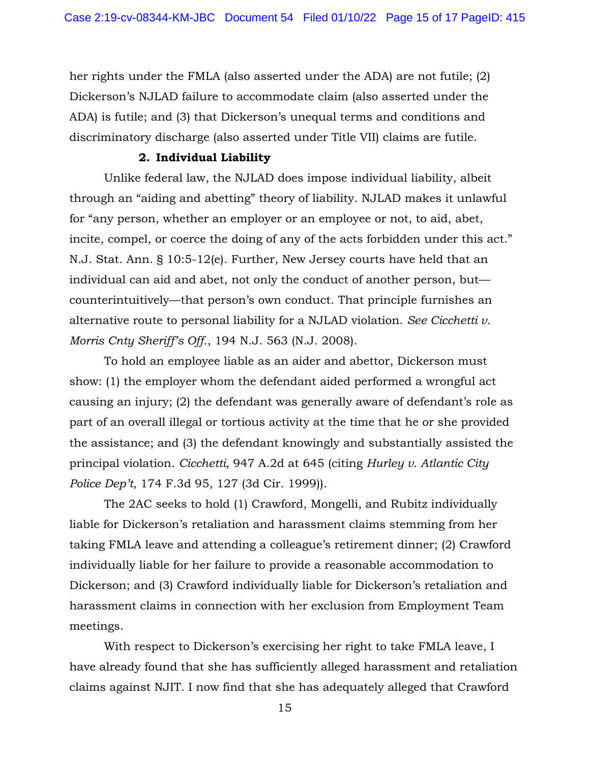her rights under the FMLA (also asserted under the ADA) are not futile; (2) Dickerson's NJLAD failure to accommodate claim (also asserted under the ADA) is futile; and (3) that Dickerson's unequal terms and conditions and discriminatory discharge (also asserted under Title VII) claims are futile.

#### **2. Individual Liability**

Unlike federal law, the NJLAD does impose individual liability, albeit through an "aiding and abetting" theory of liability. NJLAD makes it unlawful for "any person, whether an employer or an employee or not, to aid, abet, incite, compel, or coerce the doing of any of the acts forbidden under this act." N.J. Stat. Ann. § 10:5-12(e). Further, New Jersey courts have held that an individual can aid and abet, not only the conduct of another person, but counterintuitively—that person's own conduct. That principle furnishes an alternative route to personal liability for a NJLAD violation. *See Cicchetti v. Morris Cnty Sheriff's Off.*, 194 N.J. 563 (N.J. 2008).

To hold an employee liable as an aider and abettor, Dickerson must show: (1) the employer whom the defendant aided performed a wrongful act causing an injury; (2) the defendant was generally aware of defendant's role as part of an overall illegal or tortious activity at the time that he or she provided the assistance; and (3) the defendant knowingly and substantially assisted the principal violation. *Cicchetti*, 947 A.2d at 645 (citing *Hurley v. Atlantic City Police Dep't*, 174 F.3d 95, 127 (3d Cir. 1999)).

The 2AC seeks to hold (1) Crawford, Mongelli, and Rubitz individually liable for Dickerson's retaliation and harassment claims stemming from her taking FMLA leave and attending a colleague's retirement dinner; (2) Crawford individually liable for her failure to provide a reasonable accommodation to Dickerson; and (3) Crawford individually liable for Dickerson's retaliation and harassment claims in connection with her exclusion from Employment Team meetings.

With respect to Dickerson's exercising her right to take FMLA leave, I have already found that she has sufficiently alleged harassment and retaliation claims against NJIT. I now find that she has adequately alleged that Crawford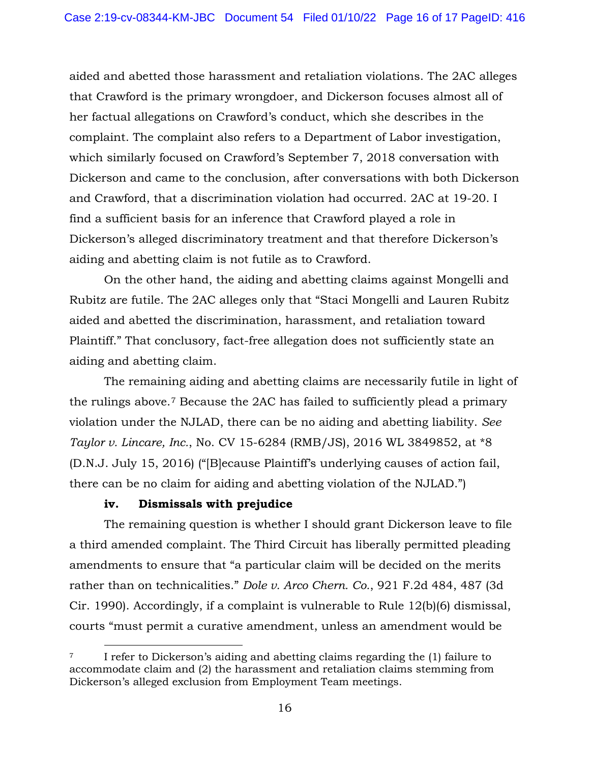aided and abetted those harassment and retaliation violations. The 2AC alleges that Crawford is the primary wrongdoer, and Dickerson focuses almost all of her factual allegations on Crawford's conduct, which she describes in the complaint. The complaint also refers to a Department of Labor investigation, which similarly focused on Crawford's September 7, 2018 conversation with Dickerson and came to the conclusion, after conversations with both Dickerson and Crawford, that a discrimination violation had occurred. 2AC at 19-20. I find a sufficient basis for an inference that Crawford played a role in Dickerson's alleged discriminatory treatment and that therefore Dickerson's aiding and abetting claim is not futile as to Crawford.

On the other hand, the aiding and abetting claims against Mongelli and Rubitz are futile. The 2AC alleges only that "Staci Mongelli and Lauren Rubitz aided and abetted the discrimination, harassment, and retaliation toward Plaintiff." That conclusory, fact-free allegation does not sufficiently state an aiding and abetting claim.

The remaining aiding and abetting claims are necessarily futile in light of the rulings above.[7](#page-15-0) Because the 2AC has failed to sufficiently plead a primary violation under the NJLAD, there can be no aiding and abetting liability. *See Taylor v. Lincare, Inc.*, No. CV 15-6284 (RMB/JS), 2016 WL 3849852, at \*8 (D.N.J. July 15, 2016) ("[B]ecause Plaintiff's underlying causes of action fail, there can be no claim for aiding and abetting violation of the NJLAD.")

# **iv. Dismissals with prejudice**

The remaining question is whether I should grant Dickerson leave to file a third amended complaint. The Third Circuit has liberally permitted pleading amendments to ensure that "a particular claim will be decided on the merits rather than on technicalities." *Dole v. Arco Chern. Co.*, 921 F.2d 484, 487 (3d Cir. 1990). Accordingly, if a complaint is vulnerable to Rule 12(b)(6) dismissal, courts "must permit a curative amendment, unless an amendment would be

<span id="page-15-0"></span><sup>7</sup> I refer to Dickerson's aiding and abetting claims regarding the (1) failure to accommodate claim and (2) the harassment and retaliation claims stemming from Dickerson's alleged exclusion from Employment Team meetings.